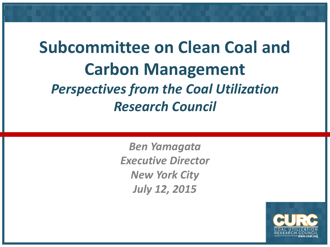## **Subcommittee on Clean Coal and Carbon Management** *Perspectives from the Coal Utilization Research Council*

*Ben Yamagata Executive Director New York City July 12, 2015*

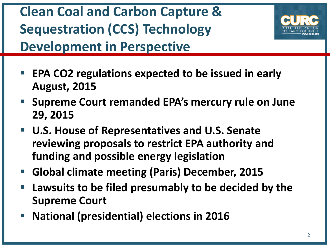**Clean Coal and Carbon Capture & Sequestration (CCS) Technology Development in Perspective**



- **EPA CO2 regulations expected to be issued in early August, 2015**
- **Supreme Court remanded EPA's mercury rule on June 29, 2015**
- **U.S. House of Representatives and U.S. Senate reviewing proposals to restrict EPA authority and funding and possible energy legislation**
- **Global climate meeting (Paris) December, 2015**
- **Lawsuits to be filed presumably to be decided by the Supreme Court**
- **National (presidential) elections in 2016**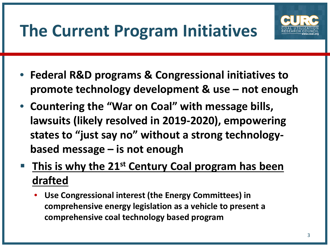## **The Current Program Initiatives**



- **Federal R&D programs & Congressional initiatives to promote technology development & use – not enough**
- **Countering the "War on Coal" with message bills, lawsuits (likely resolved in 2019-2020), empowering states to "just say no" without a strong technologybased message – is not enough**
- **This is why the 21st Century Coal program has been drafted**
	- **Use Congressional interest (the Energy Committees) in comprehensive energy legislation as a vehicle to present a comprehensive coal technology based program**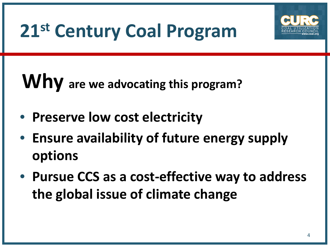

# **21st Century Coal Program**

# **Why are we advocating this program?**

- **Preserve low cost electricity**
- **Ensure availability of future energy supply options**
- **Pursue CCS as a cost-effective way to address the global issue of climate change**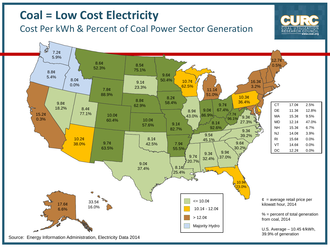#### **Coal = Low Cost Electricity**

#### Cost Per kWh & Percent of Coal Power Sector Generation



RESEARCH COUNCII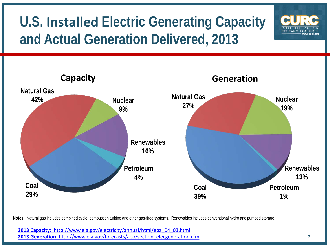## **U.S. Installed Electric Generating Capacity and Actual Generation Delivered, 2013**



**Notes:** Natural gas includes combined cycle, combustion turbine and other gas-fired systems. Renewables includes conventional hydro and pumped storage.

**[2013 Capacity:](http://www.eia.gov/electricity/annual/html/epa_04_03.html)** [http://www.eia.gov/electricity/annual/html/epa\\_04\\_03.html](http://www.eia.gov/electricity/annual/html/epa_04_03.html) **[2013 Generation:](http://www.eia.gov/forecasts/aeo/section_elecgeneration.cfm)** [http://www.eia.gov/forecasts/aeo/section\\_elecgeneration.cfm](http://www.eia.gov/forecasts/aeo/section_elecgeneration.cfm)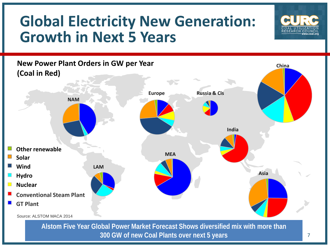## **Global Electricity New Generation: Growth in Next 5 Years**





**300 GW of new Coal Plants over next 5 years**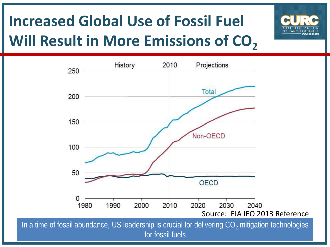## **Increased Global Use of Fossil Fuel Will Result in More Emissions of CO<sub>2</sub>**





for fossil fuels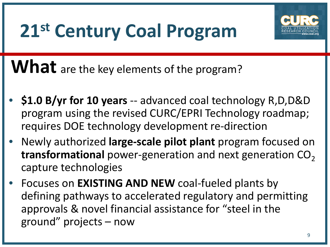# **21st Century Coal Program**



What are the key elements of the program?

- **\$1.0 B/yr for 10 years** -- advanced coal technology R,D,D&D program using the revised CURC/EPRI Technology roadmap; requires DOE technology development re-direction
- Newly authorized **large-scale pilot plant** program focused on **transformational** power-generation and next generation CO<sub>2</sub> capture technologies
- Focuses on **EXISTING AND NEW** coal-fueled plants by defining pathways to accelerated regulatory and permitting approvals & novel financial assistance for "steel in the ground" projects – now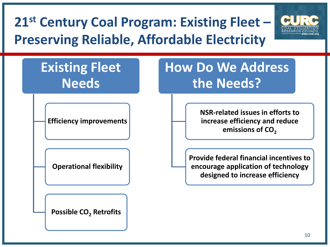## **21st Century Coal Program: Existing Fleet – Preserving Reliable, Affordable Electricity**



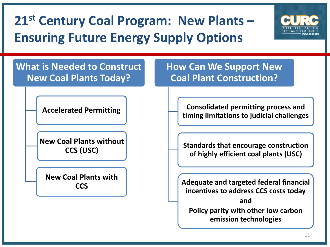## **21st Century Coal Program: New Plants – Ensuring Future Energy Supply Options**



**What is Needed to Construct New Coal Plants Today?**

**Accelerated Permitting**

**New Coal Plants without CCS (USC)**

**New Coal Plants with CCS**

**How Can We Support New Coal Plant Construction?**

> **Consolidated permitting process and timing limitations to judicial challenges**

> **Standards that encourage construction of highly efficient coal plants (USC)**

**Adequate and targeted federal financial incentives to address CCS costs today and Policy parity with other low carbon emission technologies**